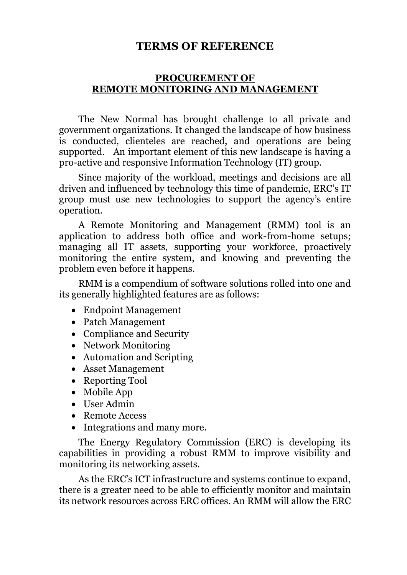#### **TERMS OF REFERENCE**

#### **PROCUREMENT OF REMOTE MONITORING AND MANAGEMENT**

The New Normal has brought challenge to all private and government organizations. It changed the landscape of how business is conducted, clienteles are reached, and operations are being supported. An important element of this new landscape is having a pro-active and responsive Information Technology (IT) group.

Since majority of the workload, meetings and decisions are all driven and influenced by technology this time of pandemic, ERC's IT group must use new technologies to support the agency's entire operation.

A Remote Monitoring and Management (RMM) tool is an application to address both office and work-from-home setups; managing all IT assets, supporting your workforce, proactively monitoring the entire system, and knowing and preventing the problem even before it happens.

RMM is a compendium of software solutions rolled into one and its generally highlighted features are as follows:

- Endpoint Management
- Patch Management
- Compliance and Security
- Network Monitoring
- Automation and Scripting
- Asset Management
- Reporting Tool
- Mobile App
- User Admin
- Remote Access
- Integrations and many more.

The Energy Regulatory Commission (ERC) is developing its capabilities in providing a robust RMM to improve visibility and monitoring its networking assets.

As the ERC's ICT infrastructure and systems continue to expand, there is a greater need to be able to efficiently monitor and maintain its network resources across ERC offices. An RMM will allow the ERC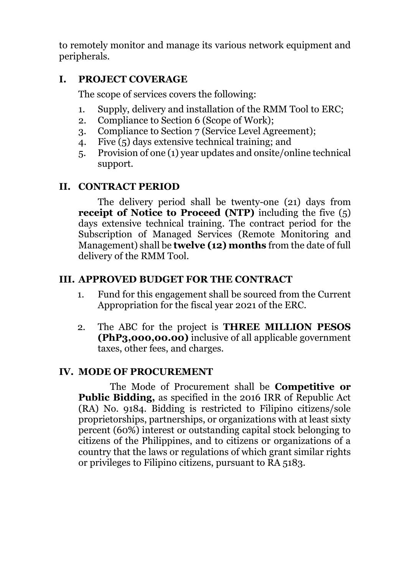to remotely monitor and manage its various network equipment and peripherals.

### **I. PROJECT COVERAGE**

The scope of services covers the following:

- 1. Supply, delivery and installation of the RMM Tool to ERC;
- 2. Compliance to Section 6 (Scope of Work);
- 3. Compliance to Section 7 (Service Level Agreement);
- 4. Five (5) days extensive technical training; and
- 5. Provision of one (1) year updates and onsite/online technical support.

# **II. CONTRACT PERIOD**

The delivery period shall be twenty-one (21) days from **receipt of Notice to Proceed (NTP)** including the five (5) days extensive technical training. The contract period for the Subscription of Managed Services (Remote Monitoring and Management) shall be **twelve (12) months** from the date of full delivery of the RMM Tool.

# **III. APPROVED BUDGET FOR THE CONTRACT**

- 1. Fund for this engagement shall be sourced from the Current Appropriation for the fiscal year 2021 of the ERC.
- 2. The ABC for the project is **THREE MILLION PESOS (PhP3,000,00.00)** inclusive of all applicable government taxes, other fees, and charges.

### **IV. MODE OF PROCUREMENT**

The Mode of Procurement shall be **Competitive or Public Bidding,** as specified in the 2016 IRR of Republic Act (RA) No. 9184. Bidding is restricted to Filipino citizens/sole proprietorships, partnerships, or organizations with at least sixty percent (60%) interest or outstanding capital stock belonging to citizens of the Philippines, and to citizens or organizations of a country that the laws or regulations of which grant similar rights or privileges to Filipino citizens, pursuant to RA 5183.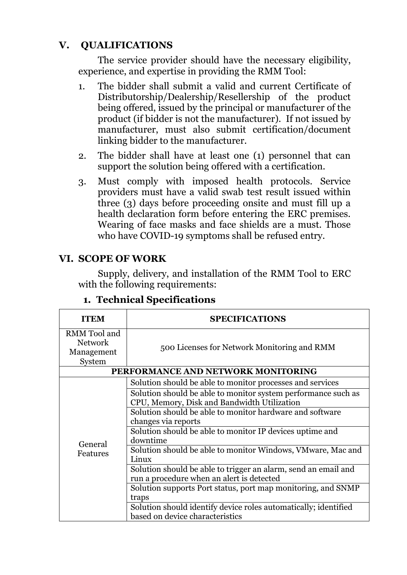# **V. QUALIFICATIONS**

The service provider should have the necessary eligibility, experience, and expertise in providing the RMM Tool:

- 1. The bidder shall submit a valid and current Certificate of Distributorship/Dealership/Resellership of the product being offered, issued by the principal or manufacturer of the product (if bidder is not the manufacturer). If not issued by manufacturer, must also submit certification/document linking bidder to the manufacturer.
- 2. The bidder shall have at least one (1) personnel that can support the solution being offered with a certification.
- 3. Must comply with imposed health protocols. Service providers must have a valid swab test result issued within three (3) days before proceeding onsite and must fill up a health declaration form before entering the ERC premises. Wearing of face masks and face shields are a must. Those who have COVID-19 symptoms shall be refused entry.

#### **VI. SCOPE OF WORK**

Supply, delivery, and installation of the RMM Tool to ERC with the following requirements:

| <b>ITEM</b>                                            | <b>SPECIFICATIONS</b>                                                                                        |
|--------------------------------------------------------|--------------------------------------------------------------------------------------------------------------|
| RMM Tool and<br><b>Network</b><br>Management<br>System | 500 Licenses for Network Monitoring and RMM                                                                  |
| PERFORMANCE AND NETWORK MONITORING                     |                                                                                                              |
|                                                        | Solution should be able to monitor processes and services                                                    |
|                                                        | Solution should be able to monitor system performance such as<br>CPU, Memory, Disk and Bandwidth Utilization |
|                                                        | Solution should be able to monitor hardware and software                                                     |
|                                                        | changes via reports                                                                                          |
|                                                        | Solution should be able to monitor IP devices uptime and<br>downtime                                         |
| General<br>Features                                    | Solution should be able to monitor Windows, VMware, Mac and<br>Linux                                         |
|                                                        | Solution should be able to trigger an alarm, send an email and<br>run a procedure when an alert is detected  |
|                                                        | Solution supports Port status, port map monitoring, and SNMP                                                 |
|                                                        | traps                                                                                                        |
|                                                        | Solution should identify device roles automatically; identified<br>based on device characteristics           |

### **1. Technical Specifications**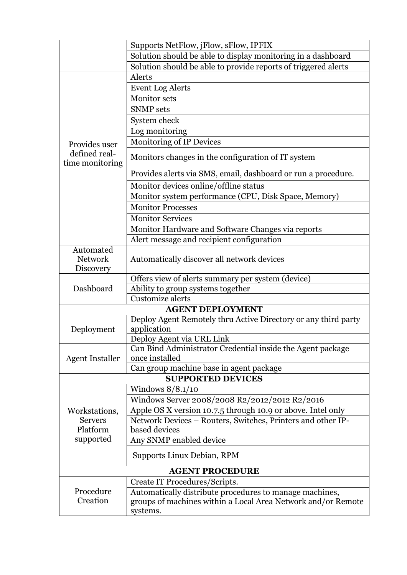|                                          | Supports NetFlow, jFlow, sFlow, IPFIX                                         |
|------------------------------------------|-------------------------------------------------------------------------------|
|                                          | Solution should be able to display monitoring in a dashboard                  |
|                                          | Solution should be able to provide reports of triggered alerts                |
|                                          | Alerts                                                                        |
|                                          | <b>Event Log Alerts</b>                                                       |
|                                          | <b>Monitor</b> sets                                                           |
|                                          | <b>SNMP</b> sets                                                              |
|                                          | System check                                                                  |
|                                          | Log monitoring                                                                |
| Provides user                            | <b>Monitoring of IP Devices</b>                                               |
| defined real-<br>time monitoring         | Monitors changes in the configuration of IT system                            |
|                                          | Provides alerts via SMS, email, dashboard or run a procedure.                 |
|                                          | Monitor devices online/offline status                                         |
|                                          | Monitor system performance (CPU, Disk Space, Memory)                          |
|                                          | <b>Monitor Processes</b>                                                      |
|                                          | <b>Monitor Services</b>                                                       |
|                                          | Monitor Hardware and Software Changes via reports                             |
|                                          | Alert message and recipient configuration                                     |
| Automated<br><b>Network</b><br>Discovery | Automatically discover all network devices                                    |
|                                          | Offers view of alerts summary per system (device)                             |
| Dashboard                                | Ability to group systems together                                             |
|                                          | Customize alerts                                                              |
|                                          | <b>AGENT DEPLOYMENT</b>                                                       |
| Deployment                               | Deploy Agent Remotely thru Active Directory or any third party<br>application |
|                                          | Deploy Agent via URL Link                                                     |
| <b>Agent Installer</b>                   | Can Bind Administrator Credential inside the Agent package<br>once installed  |
|                                          | Can group machine base in agent package                                       |
|                                          | <b>SUPPORTED DEVICES</b>                                                      |
|                                          | Windows $8/8.1/10$                                                            |
|                                          | Windows Server 2008/2008 R2/2012/2012 R2/2016                                 |
| Workstations,                            | Apple OS X version 10.7.5 through 10.9 or above. Intel only                   |
| <b>Servers</b>                           | Network Devices - Routers, Switches, Printers and other IP-                   |
| Platform                                 | based devices                                                                 |
| supported                                | Any SNMP enabled device                                                       |
|                                          | Supports Linux Debian, RPM                                                    |
|                                          | <b>AGENT PROCEDURE</b>                                                        |
|                                          | Create IT Procedures/Scripts.                                                 |
| Procedure                                | Automatically distribute procedures to manage machines,                       |
| Creation                                 | groups of machines within a Local Area Network and/or Remote<br>systems.      |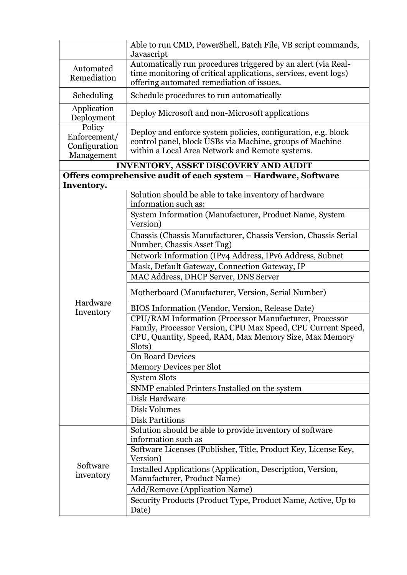| Able to run CMD, PowerShell, Batch File, VB script commands,<br>Javascript |                                                                                                                                                                                            |  |
|----------------------------------------------------------------------------|--------------------------------------------------------------------------------------------------------------------------------------------------------------------------------------------|--|
| Automated<br>Remediation                                                   | Automatically run procedures triggered by an alert (via Real-<br>time monitoring of critical applications, services, event logs)<br>offering automated remediation of issues.              |  |
| Scheduling                                                                 | Schedule procedures to run automatically                                                                                                                                                   |  |
| Application<br>Deployment                                                  | Deploy Microsoft and non-Microsoft applications                                                                                                                                            |  |
| Policy<br>Enforcement/<br>Configuration<br>Management                      | Deploy and enforce system policies, configuration, e.g. block<br>control panel, block USBs via Machine, groups of Machine<br>within a Local Area Network and Remote systems.               |  |
|                                                                            | <b>INVENTORY, ASSET DISCOVERY AND AUDIT</b>                                                                                                                                                |  |
| Inventory.                                                                 | Offers comprehensive audit of each system - Hardware, Software                                                                                                                             |  |
|                                                                            | Solution should be able to take inventory of hardware<br>information such as:                                                                                                              |  |
|                                                                            | System Information (Manufacturer, Product Name, System<br>Version)                                                                                                                         |  |
|                                                                            | Chassis (Chassis Manufacturer, Chassis Version, Chassis Serial<br>Number, Chassis Asset Tag)                                                                                               |  |
|                                                                            | Network Information (IPv4 Address, IPv6 Address, Subnet                                                                                                                                    |  |
|                                                                            | Mask, Default Gateway, Connection Gateway, IP                                                                                                                                              |  |
|                                                                            | MAC Address, DHCP Server, DNS Server                                                                                                                                                       |  |
|                                                                            | Motherboard (Manufacturer, Version, Serial Number)                                                                                                                                         |  |
| Hardware<br>Inventory                                                      | BIOS Information (Vendor, Version, Release Date)                                                                                                                                           |  |
|                                                                            | CPU/RAM Information (Processor Manufacturer, Processor<br>Family, Processor Version, CPU Max Speed, CPU Current Speed,<br>CPU, Quantity, Speed, RAM, Max Memory Size, Max Memory<br>Slots) |  |
|                                                                            | <b>On Board Devices</b>                                                                                                                                                                    |  |
|                                                                            | <b>Memory Devices per Slot</b>                                                                                                                                                             |  |
|                                                                            | <b>System Slots</b>                                                                                                                                                                        |  |
|                                                                            | SNMP enabled Printers Installed on the system                                                                                                                                              |  |
|                                                                            | Disk Hardware                                                                                                                                                                              |  |
|                                                                            | Disk Volumes                                                                                                                                                                               |  |
|                                                                            | <b>Disk Partitions</b>                                                                                                                                                                     |  |
| Software<br>inventory                                                      | Solution should be able to provide inventory of software<br>information such as                                                                                                            |  |
|                                                                            | Software Licenses (Publisher, Title, Product Key, License Key,<br>Version)                                                                                                                 |  |
|                                                                            | Installed Applications (Application, Description, Version,<br>Manufacturer, Product Name)                                                                                                  |  |
|                                                                            | Add/Remove (Application Name)                                                                                                                                                              |  |
|                                                                            | Security Products (Product Type, Product Name, Active, Up to<br>Date)                                                                                                                      |  |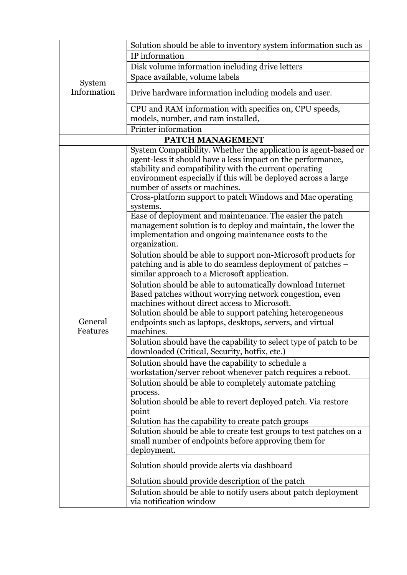|                       | Solution should be able to inventory system information such as                                                                                                                                  |
|-----------------------|--------------------------------------------------------------------------------------------------------------------------------------------------------------------------------------------------|
| System<br>Information | IP information                                                                                                                                                                                   |
|                       | Disk volume information including drive letters                                                                                                                                                  |
|                       | Space available, volume labels                                                                                                                                                                   |
|                       | Drive hardware information including models and user.                                                                                                                                            |
|                       | CPU and RAM information with specifics on, CPU speeds,                                                                                                                                           |
|                       | models, number, and ram installed,                                                                                                                                                               |
|                       | Printer information                                                                                                                                                                              |
|                       | PATCH MANAGEMENT                                                                                                                                                                                 |
|                       | System Compatibility. Whether the application is agent-based or<br>agent-less it should have a less impact on the performance,<br>stability and compatibility with the current operating         |
|                       | environment especially if this will be deployed across a large<br>number of assets or machines.                                                                                                  |
|                       | Cross-platform support to patch Windows and Mac operating<br>systems.                                                                                                                            |
| General<br>Features   | Ease of deployment and maintenance. The easier the patch<br>management solution is to deploy and maintain, the lower the<br>implementation and ongoing maintenance costs to the<br>organization. |
|                       | Solution should be able to support non-Microsoft products for<br>patching and is able to do seamless deployment of patches –<br>similar approach to a Microsoft application.                     |
|                       | Solution should be able to automatically download Internet<br>Based patches without worrying network congestion, even<br>machines without direct access to Microsoft.                            |
|                       | Solution should be able to support patching heterogeneous<br>endpoints such as laptops, desktops, servers, and virtual<br>machines.                                                              |
|                       | Solution should have the capability to select type of patch to be<br>downloaded (Critical, Security, hotfix, etc.)                                                                               |
|                       | Solution should have the capability to schedule a<br>workstation/server reboot whenever patch requires a reboot.                                                                                 |
|                       | Solution should be able to completely automate patching<br>process.                                                                                                                              |
|                       | Solution should be able to revert deployed patch. Via restore<br>point                                                                                                                           |
|                       | Solution has the capability to create patch groups                                                                                                                                               |
|                       | Solution should be able to create test groups to test patches on a<br>small number of endpoints before approving them for<br>deployment.                                                         |
|                       | Solution should provide alerts via dashboard                                                                                                                                                     |
|                       | Solution should provide description of the patch                                                                                                                                                 |
|                       | Solution should be able to notify users about patch deployment<br>via notification window                                                                                                        |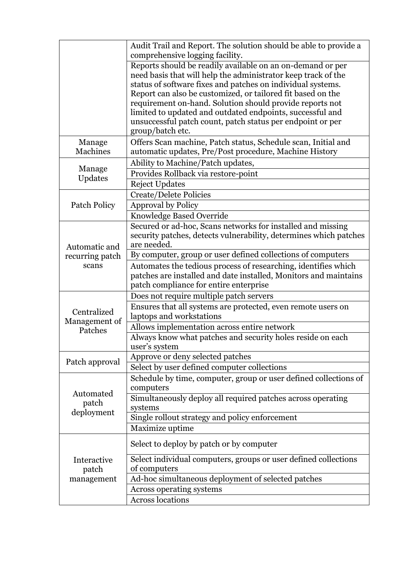|                                           | Audit Trail and Report. The solution should be able to provide a<br>comprehensive logging facility.                                                                                                                                                                                                                                                                                                                                                                  |
|-------------------------------------------|----------------------------------------------------------------------------------------------------------------------------------------------------------------------------------------------------------------------------------------------------------------------------------------------------------------------------------------------------------------------------------------------------------------------------------------------------------------------|
|                                           | Reports should be readily available on an on-demand or per<br>need basis that will help the administrator keep track of the<br>status of software fixes and patches on individual systems.<br>Report can also be customized, or tailored fit based on the<br>requirement on-hand. Solution should provide reports not<br>limited to updated and outdated endpoints, successful and<br>unsuccessful patch count, patch status per endpoint or per<br>group/batch etc. |
| Manage<br><b>Machines</b>                 | Offers Scan machine, Patch status, Schedule scan, Initial and<br>automatic updates, Pre/Post procedure, Machine History                                                                                                                                                                                                                                                                                                                                              |
| Manage<br>Updates                         | Ability to Machine/Patch updates,<br>Provides Rollback via restore-point                                                                                                                                                                                                                                                                                                                                                                                             |
| <b>Patch Policy</b>                       | <b>Reject Updates</b><br><b>Create/Delete Policies</b><br><b>Approval by Policy</b>                                                                                                                                                                                                                                                                                                                                                                                  |
| Automatic and<br>recurring patch<br>scans | Knowledge Based Override<br>Secured or ad-hoc, Scans networks for installed and missing<br>security patches, detects vulnerability, determines which patches<br>are needed.                                                                                                                                                                                                                                                                                          |
|                                           | By computer, group or user defined collections of computers<br>Automates the tedious process of researching, identifies which<br>patches are installed and date installed, Monitors and maintains<br>patch compliance for entire enterprise                                                                                                                                                                                                                          |
| Centralized<br>Management of<br>Patches   | Does not require multiple patch servers<br>Ensures that all systems are protected, even remote users on<br>laptops and workstations<br>Allows implementation across entire network                                                                                                                                                                                                                                                                                   |
|                                           | Always know what patches and security holes reside on each<br>user's system                                                                                                                                                                                                                                                                                                                                                                                          |
| Patch approval                            | Approve or deny selected patches<br>Select by user defined computer collections                                                                                                                                                                                                                                                                                                                                                                                      |
| Automated<br>patch<br>deployment          | Schedule by time, computer, group or user defined collections of<br>computers<br>Simultaneously deploy all required patches across operating<br>systems<br>Single rollout strategy and policy enforcement<br>Maximize uptime                                                                                                                                                                                                                                         |
| Interactive<br>patch<br>management        | Select to deploy by patch or by computer<br>Select individual computers, groups or user defined collections<br>of computers<br>Ad-hoc simultaneous deployment of selected patches<br><b>Across operating systems</b><br><b>Across locations</b>                                                                                                                                                                                                                      |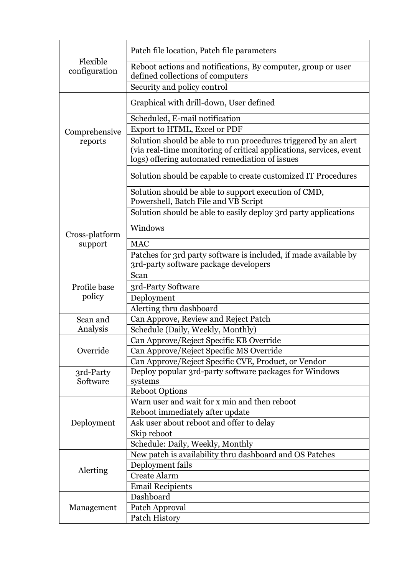| Flexible<br>configuration | Patch file location, Patch file parameters                                                                                                                                               |
|---------------------------|------------------------------------------------------------------------------------------------------------------------------------------------------------------------------------------|
|                           | Reboot actions and notifications, By computer, group or user<br>defined collections of computers                                                                                         |
|                           | Security and policy control                                                                                                                                                              |
|                           | Graphical with drill-down, User defined                                                                                                                                                  |
|                           | Scheduled, E-mail notification                                                                                                                                                           |
| Comprehensive             | Export to HTML, Excel or PDF                                                                                                                                                             |
| reports                   | Solution should be able to run procedures triggered by an alert<br>(via real-time monitoring of critical applications, services, event<br>logs) offering automated remediation of issues |
|                           | Solution should be capable to create customized IT Procedures                                                                                                                            |
|                           | Solution should be able to support execution of CMD,<br>Powershell, Batch File and VB Script                                                                                             |
|                           | Solution should be able to easily deploy 3rd party applications                                                                                                                          |
| Cross-platform            | Windows                                                                                                                                                                                  |
| support                   | <b>MAC</b>                                                                                                                                                                               |
|                           | Patches for 3rd party software is included, if made available by                                                                                                                         |
|                           | 3rd-party software package developers                                                                                                                                                    |
|                           | Scan                                                                                                                                                                                     |
| Profile base              | 3rd-Party Software                                                                                                                                                                       |
| policy                    | Deployment                                                                                                                                                                               |
|                           | Alerting thru dashboard                                                                                                                                                                  |
| Scan and<br>Analysis      | Can Approve, Review and Reject Patch                                                                                                                                                     |
|                           | Schedule (Daily, Weekly, Monthly)<br>Can Approve/Reject Specific KB Override                                                                                                             |
| Override                  |                                                                                                                                                                                          |
|                           | Can Approve/Reject Specific MS Override<br>Can Approve/Reject Specific CVE, Product, or Vendor                                                                                           |
| 3rd-Party                 | Deploy popular 3rd-party software packages for Windows                                                                                                                                   |
| Software                  | systems                                                                                                                                                                                  |
|                           | <b>Reboot Options</b>                                                                                                                                                                    |
| Deployment                | Warn user and wait for x min and then reboot                                                                                                                                             |
|                           | Reboot immediately after update                                                                                                                                                          |
|                           | Ask user about reboot and offer to delay                                                                                                                                                 |
|                           | Skip reboot                                                                                                                                                                              |
|                           | Schedule: Daily, Weekly, Monthly                                                                                                                                                         |
| Alerting                  | New patch is availability thru dashboard and OS Patches                                                                                                                                  |
|                           | Deployment fails                                                                                                                                                                         |
|                           | <b>Create Alarm</b>                                                                                                                                                                      |
|                           | <b>Email Recipients</b>                                                                                                                                                                  |
|                           | Dashboard                                                                                                                                                                                |
| Management                | Patch Approval                                                                                                                                                                           |
|                           | Patch History                                                                                                                                                                            |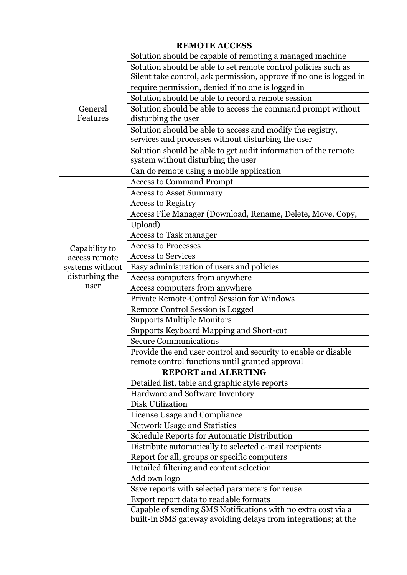| <b>REMOTE ACCESS</b> |                                                                                                                  |  |
|----------------------|------------------------------------------------------------------------------------------------------------------|--|
|                      | Solution should be capable of remoting a managed machine                                                         |  |
|                      | Solution should be able to set remote control policies such as                                                   |  |
|                      | Silent take control, ask permission, approve if no one is logged in                                              |  |
|                      | require permission, denied if no one is logged in                                                                |  |
|                      | Solution should be able to record a remote session                                                               |  |
| General<br>Features  | Solution should be able to access the command prompt without<br>disturbing the user                              |  |
|                      | Solution should be able to access and modify the registry,<br>services and processes without disturbing the user |  |
|                      | Solution should be able to get audit information of the remote<br>system without disturbing the user             |  |
|                      | Can do remote using a mobile application                                                                         |  |
|                      | <b>Access to Command Prompt</b>                                                                                  |  |
|                      | <b>Access to Asset Summary</b>                                                                                   |  |
|                      | <b>Access to Registry</b>                                                                                        |  |
|                      | Access File Manager (Download, Rename, Delete, Move, Copy,                                                       |  |
|                      | Upload)                                                                                                          |  |
|                      | <b>Access to Task manager</b>                                                                                    |  |
| Capability to        | <b>Access to Processes</b>                                                                                       |  |
| access remote        | <b>Access to Services</b>                                                                                        |  |
| systems without      | Easy administration of users and policies                                                                        |  |
| disturbing the       | Access computers from anywhere                                                                                   |  |
| user                 | Access computers from anywhere                                                                                   |  |
|                      | <b>Private Remote-Control Session for Windows</b>                                                                |  |
|                      | Remote Control Session is Logged                                                                                 |  |
|                      | <b>Supports Multiple Monitors</b>                                                                                |  |
|                      | Supports Keyboard Mapping and Short-cut                                                                          |  |
|                      | <b>Secure Communications</b>                                                                                     |  |
|                      | Provide the end user control and security to enable or disable                                                   |  |
|                      | remote control functions until granted approval                                                                  |  |
|                      | <b>REPORT and ALERTING</b>                                                                                       |  |
|                      | Detailed list, table and graphic style reports                                                                   |  |
|                      | Hardware and Software Inventory                                                                                  |  |
|                      | Disk Utilization                                                                                                 |  |
|                      | License Usage and Compliance                                                                                     |  |
|                      | <b>Network Usage and Statistics</b>                                                                              |  |
|                      | Schedule Reports for Automatic Distribution                                                                      |  |
|                      | Distribute automatically to selected e-mail recipients                                                           |  |
|                      | Report for all, groups or specific computers                                                                     |  |
|                      | Detailed filtering and content selection                                                                         |  |
|                      | Add own logo                                                                                                     |  |
|                      | Save reports with selected parameters for reuse                                                                  |  |
|                      | Export report data to readable formats<br>Capable of sending SMS Notifications with no extra cost via a          |  |
|                      | built-in SMS gateway avoiding delays from integrations; at the                                                   |  |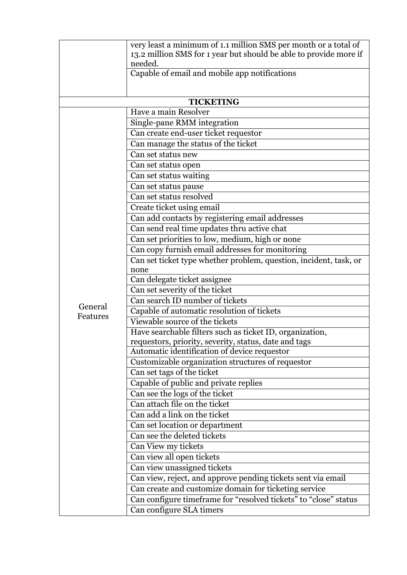|          | very least a minimum of 1.1 million SMS per month or a total of                                                   |
|----------|-------------------------------------------------------------------------------------------------------------------|
|          | 13.2 million SMS for 1 year but should be able to provide more if<br>needed.                                      |
|          | Capable of email and mobile app notifications                                                                     |
|          |                                                                                                                   |
|          |                                                                                                                   |
|          | <b>TICKETING</b>                                                                                                  |
|          | Have a main Resolver                                                                                              |
|          | Single-pane RMM integration                                                                                       |
|          | Can create end-user ticket requestor                                                                              |
|          | Can manage the status of the ticket                                                                               |
|          | Can set status new                                                                                                |
|          | Can set status open                                                                                               |
|          | Can set status waiting                                                                                            |
|          | Can set status pause                                                                                              |
|          | Can set status resolved                                                                                           |
|          | Create ticket using email                                                                                         |
|          | Can add contacts by registering email addresses                                                                   |
|          | Can send real time updates thru active chat                                                                       |
|          | Can set priorities to low, medium, high or none                                                                   |
|          | Can copy furnish email addresses for monitoring                                                                   |
|          | Can set ticket type whether problem, question, incident, task, or                                                 |
|          | none                                                                                                              |
|          | Can delegate ticket assignee                                                                                      |
|          | Can set severity of the ticket                                                                                    |
| General  | Can search ID number of tickets                                                                                   |
| Features | Capable of automatic resolution of tickets                                                                        |
|          | Viewable source of the tickets                                                                                    |
|          | Have searchable filters such as ticket ID, organization,<br>requestors, priority, severity, status, date and tags |
|          | Automatic identification of device requestor                                                                      |
|          | Customizable organization structures of requestor                                                                 |
|          | Can set tags of the ticket                                                                                        |
|          | Capable of public and private replies                                                                             |
|          | Can see the logs of the ticket                                                                                    |
|          | Can attach file on the ticket                                                                                     |
|          | Can add a link on the ticket                                                                                      |
|          | Can set location or department                                                                                    |
|          | Can see the deleted tickets                                                                                       |
|          | Can View my tickets                                                                                               |
|          | Can view all open tickets                                                                                         |
|          | Can view unassigned tickets                                                                                       |
|          | Can view, reject, and approve pending tickets sent via email                                                      |
|          | Can create and customize domain for ticketing service                                                             |
|          | Can configure timeframe for "resolved tickets" to "close" status                                                  |
|          | Can configure SLA timers                                                                                          |
|          |                                                                                                                   |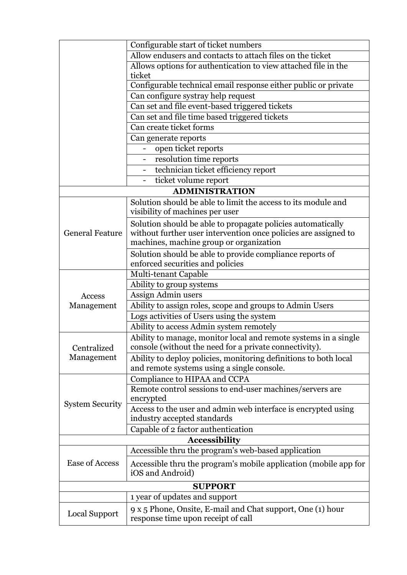|                        | Configurable start of ticket numbers                                                             |
|------------------------|--------------------------------------------------------------------------------------------------|
|                        | Allow endusers and contacts to attach files on the ticket                                        |
|                        | Allows options for authentication to view attached file in the                                   |
|                        | ticket                                                                                           |
|                        | Configurable technical email response either public or private                                   |
|                        | Can configure systray help request                                                               |
|                        | Can set and file event-based triggered tickets                                                   |
|                        | Can set and file time based triggered tickets                                                    |
|                        | Can create ticket forms                                                                          |
|                        | Can generate reports                                                                             |
|                        | open ticket reports                                                                              |
|                        | resolution time reports                                                                          |
|                        | technician ticket efficiency report                                                              |
|                        | ticket volume report                                                                             |
|                        | <b>ADMINISTRATION</b>                                                                            |
|                        | Solution should be able to limit the access to its module and                                    |
|                        | visibility of machines per user                                                                  |
|                        | Solution should be able to propagate policies automatically                                      |
| <b>General Feature</b> | without further user intervention once policies are assigned to                                  |
|                        | machines, machine group or organization                                                          |
|                        | Solution should be able to provide compliance reports of                                         |
|                        | enforced securities and policies                                                                 |
|                        | Multi-tenant Capable                                                                             |
|                        | Ability to group systems                                                                         |
| Access                 | Assign Admin users                                                                               |
| Management             | Ability to assign roles, scope and groups to Admin Users                                         |
|                        | Logs activities of Users using the system                                                        |
|                        | Ability to access Admin system remotely                                                          |
|                        | Ability to manage, monitor local and remote systems in a single                                  |
| Centralized            | console (without the need for a private connectivity).                                           |
| Management             | Ability to deploy policies, monitoring definitions to both local                                 |
|                        | and remote systems using a single console.                                                       |
|                        | Compliance to HIPAA and CCPA                                                                     |
|                        | Remote control sessions to end-user machines/servers are                                         |
| <b>System Security</b> | encrypted                                                                                        |
|                        | Access to the user and admin web interface is encrypted using                                    |
|                        | industry accepted standards                                                                      |
|                        | Capable of 2 factor authentication                                                               |
|                        | <b>Accessibility</b>                                                                             |
|                        | Accessible thru the program's web-based application                                              |
| <b>Ease of Access</b>  | Accessible thru the program's mobile application (mobile app for                                 |
|                        | iOS and Android)                                                                                 |
|                        | <b>SUPPORT</b>                                                                                   |
|                        | 1 year of updates and support                                                                    |
| Local Support          | 9 x 5 Phone, Onsite, E-mail and Chat support, One (1) hour<br>response time upon receipt of call |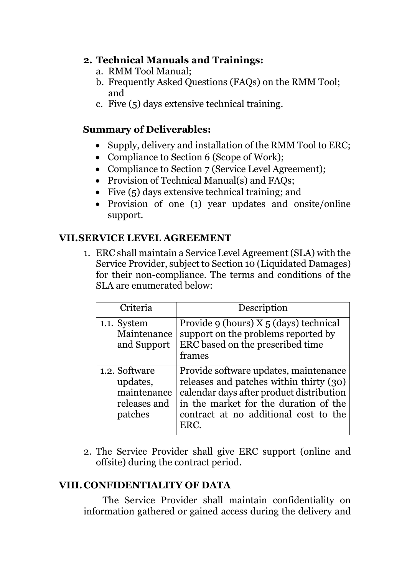### **2. Technical Manuals and Trainings:**

- a. RMM Tool Manual;
- b. Frequently Asked Questions (FAQs) on the RMM Tool; and
- c. Five (5) days extensive technical training.

# **Summary of Deliverables:**

- Supply, delivery and installation of the RMM Tool to ERC:
- Compliance to Section 6 (Scope of Work);
- Compliance to Section 7 (Service Level Agreement);
- Provision of Technical Manual(s) and FAOs;
- Five (5) days extensive technical training; and
- Provision of one (1) year updates and onsite/online support.

# **VII.SERVICE LEVEL AGREEMENT**

1. ERC shall maintain a Service Level Agreement (SLA) with the Service Provider, subject to Section 10 (Liquidated Damages) for their non-compliance. The terms and conditions of the SLA are enumerated below:

| Criteria                                                            | Description                                                                                                                                                                                                            |
|---------------------------------------------------------------------|------------------------------------------------------------------------------------------------------------------------------------------------------------------------------------------------------------------------|
| 1.1. System<br>Maintenance<br>and Support                           | Provide 9 (hours) X 5 (days) technical<br>support on the problems reported by<br>ERC based on the prescribed time<br>frames                                                                                            |
| 1.2. Software<br>updates,<br>maintenance<br>releases and<br>patches | Provide software updates, maintenance<br>releases and patches within thirty (30)<br>calendar days after product distribution<br>in the market for the duration of the<br>contract at no additional cost to the<br>ERC. |

2. The Service Provider shall give ERC support (online and offsite) during the contract period.

# **VIII.CONFIDENTIALITY OF DATA**

The Service Provider shall maintain confidentiality on information gathered or gained access during the delivery and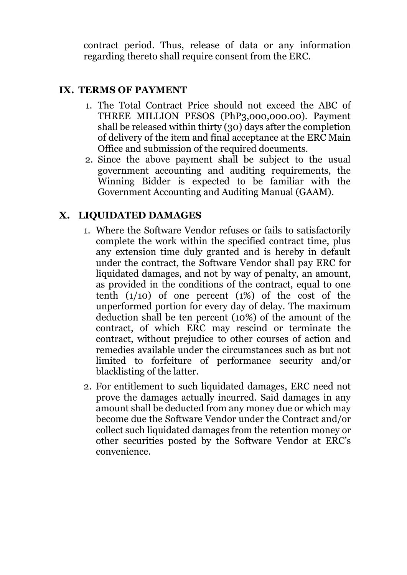contract period. Thus, release of data or any information regarding thereto shall require consent from the ERC.

#### **IX. TERMS OF PAYMENT**

- 1. The Total Contract Price should not exceed the ABC of THREE MILLION PESOS (PhP3,000,000.00). Payment shall be released within thirty (30) days after the completion of delivery of the item and final acceptance at the ERC Main Office and submission of the required documents.
- 2. Since the above payment shall be subject to the usual government accounting and auditing requirements, the Winning Bidder is expected to be familiar with the Government Accounting and Auditing Manual (GAAM).

### **X. LIQUIDATED DAMAGES**

- 1. Where the Software Vendor refuses or fails to satisfactorily complete the work within the specified contract time, plus any extension time duly granted and is hereby in default under the contract, the Software Vendor shall pay ERC for liquidated damages, and not by way of penalty, an amount, as provided in the conditions of the contract, equal to one tenth  $(1/10)$  of one percent  $(1%)$  of the cost of the unperformed portion for every day of delay. The maximum deduction shall be ten percent (10%) of the amount of the contract, of which ERC may rescind or terminate the contract, without prejudice to other courses of action and remedies available under the circumstances such as but not limited to forfeiture of performance security and/or blacklisting of the latter.
- 2. For entitlement to such liquidated damages, ERC need not prove the damages actually incurred. Said damages in any amount shall be deducted from any money due or which may become due the Software Vendor under the Contract and/or collect such liquidated damages from the retention money or other securities posted by the Software Vendor at ERC's convenience.